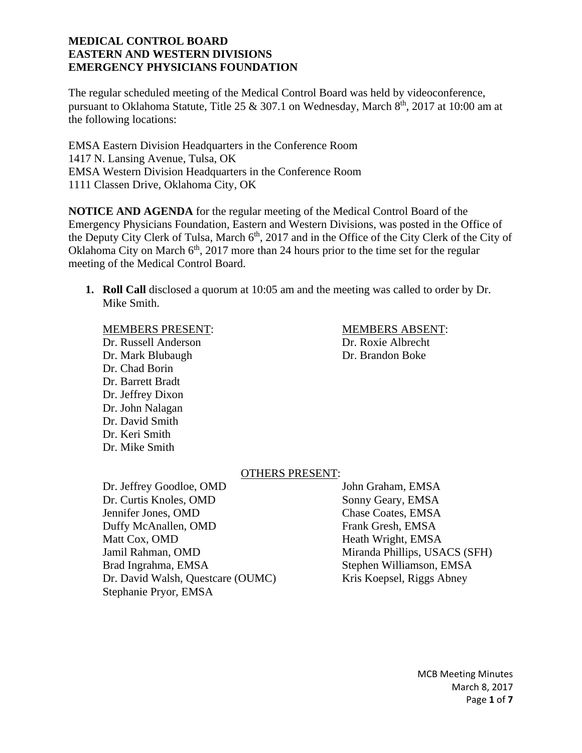The regular scheduled meeting of the Medical Control Board was held by videoconference, pursuant to Oklahoma Statute, Title 25 & 307.1 on Wednesday, March  $8<sup>th</sup>$ , 2017 at 10:00 am at the following locations:

EMSA Eastern Division Headquarters in the Conference Room 1417 N. Lansing Avenue, Tulsa, OK EMSA Western Division Headquarters in the Conference Room 1111 Classen Drive, Oklahoma City, OK

**NOTICE AND AGENDA** for the regular meeting of the Medical Control Board of the Emergency Physicians Foundation, Eastern and Western Divisions, was posted in the Office of the Deputy City Clerk of Tulsa, March  $6<sup>th</sup>$ , 2017 and in the Office of the City Clerk of the City of Oklahoma City on March  $6<sup>th</sup>$ , 2017 more than 24 hours prior to the time set for the regular meeting of the Medical Control Board.

**1. Roll Call** disclosed a quorum at 10:05 am and the meeting was called to order by Dr. Mike Smith.

#### MEMBERS PRESENT: MEMBERS ABSENT:

Dr. Russell Anderson Dr. Roxie Albrecht Dr. Mark Blubaugh Dr. Brandon Boke Dr. Chad Borin Dr. Barrett Bradt Dr. Jeffrey Dixon Dr. John Nalagan Dr. David Smith Dr. Keri Smith Dr. Mike Smith

# OTHERS PRESENT:

Dr. Jeffrey Goodloe, OMD John Graham, EMSA Dr. Curtis Knoles, OMD Sonny Geary, EMSA Jennifer Jones, OMD Chase Coates, EMSA Duffy McAnallen, OMD Frank Gresh, EMSA Matt Cox, OMD Heath Wright, EMSA Jamil Rahman, OMD Miranda Phillips, USACS (SFH) Brad Ingrahma, EMSA Stephen Williamson, EMSA Dr. David Walsh, Questcare (OUMC) Kris Koepsel, Riggs Abney Stephanie Pryor, EMSA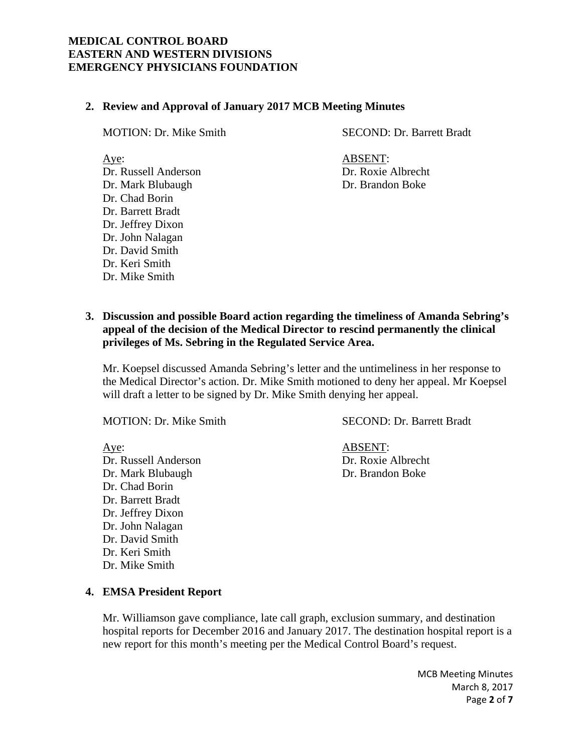#### **2. Review and Approval of January 2017 MCB Meeting Minutes**

MOTION: Dr. Mike Smith SECOND: Dr. Barrett Bradt

Aye: ABSENT:

Dr. Russell Anderson Dr. Roxie Albrecht Dr. Mark Blubaugh Dr. Brandon Boke Dr. Chad Borin Dr. Barrett Bradt Dr. Jeffrey Dixon Dr. John Nalagan Dr. David Smith Dr. Keri Smith Dr. Mike Smith

# **3. Discussion and possible Board action regarding the timeliness of Amanda Sebring's appeal of the decision of the Medical Director to rescind permanently the clinical privileges of Ms. Sebring in the Regulated Service Area.**

Mr. Koepsel discussed Amanda Sebring's letter and the untimeliness in her response to the Medical Director's action. Dr. Mike Smith motioned to deny her appeal. Mr Koepsel will draft a letter to be signed by Dr. Mike Smith denying her appeal.

Dr. Russell Anderson Dr. Roxie Albrecht Dr. Mark Blubaugh Dr. Brandon Boke Dr. Chad Borin Dr. Barrett Bradt Dr. Jeffrey Dixon Dr. John Nalagan Dr. David Smith Dr. Keri Smith Dr. Mike Smith

MOTION: Dr. Mike Smith SECOND: Dr. Barrett Bradt

Aye: ABSENT:

#### **4. EMSA President Report**

Mr. Williamson gave compliance, late call graph, exclusion summary, and destination hospital reports for December 2016 and January 2017. The destination hospital report is a new report for this month's meeting per the Medical Control Board's request.

> MCB Meeting Minutes March 8, 2017 Page **2** of **7**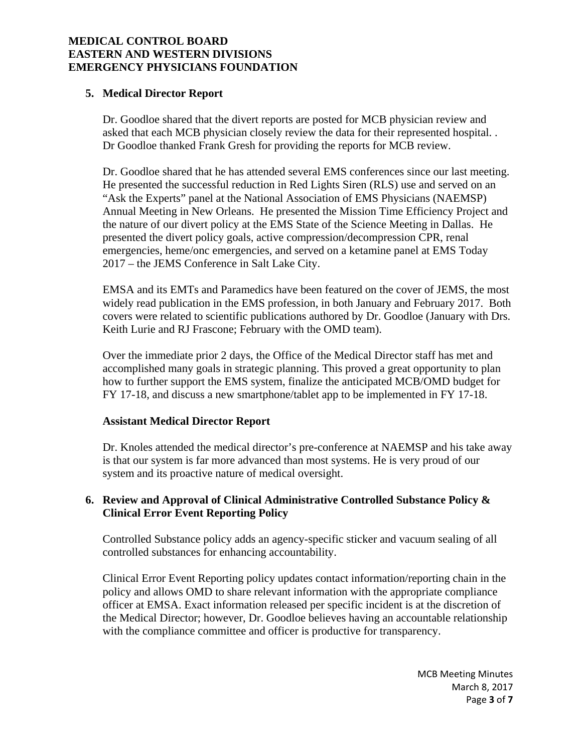## **5. Medical Director Report**

Dr. Goodloe shared that the divert reports are posted for MCB physician review and asked that each MCB physician closely review the data for their represented hospital. . Dr Goodloe thanked Frank Gresh for providing the reports for MCB review.

Dr. Goodloe shared that he has attended several EMS conferences since our last meeting. He presented the successful reduction in Red Lights Siren (RLS) use and served on an "Ask the Experts" panel at the National Association of EMS Physicians (NAEMSP) Annual Meeting in New Orleans. He presented the Mission Time Efficiency Project and the nature of our divert policy at the EMS State of the Science Meeting in Dallas. He presented the divert policy goals, active compression/decompression CPR, renal emergencies, heme/onc emergencies, and served on a ketamine panel at EMS Today 2017 – the JEMS Conference in Salt Lake City.

EMSA and its EMTs and Paramedics have been featured on the cover of JEMS, the most widely read publication in the EMS profession, in both January and February 2017. Both covers were related to scientific publications authored by Dr. Goodloe (January with Drs. Keith Lurie and RJ Frascone; February with the OMD team).

Over the immediate prior 2 days, the Office of the Medical Director staff has met and accomplished many goals in strategic planning. This proved a great opportunity to plan how to further support the EMS system, finalize the anticipated MCB/OMD budget for FY 17-18, and discuss a new smartphone/tablet app to be implemented in FY 17-18.

#### **Assistant Medical Director Report**

Dr. Knoles attended the medical director's pre-conference at NAEMSP and his take away is that our system is far more advanced than most systems. He is very proud of our system and its proactive nature of medical oversight.

# **6. Review and Approval of Clinical Administrative Controlled Substance Policy & Clinical Error Event Reporting Policy**

Controlled Substance policy adds an agency-specific sticker and vacuum sealing of all controlled substances for enhancing accountability.

Clinical Error Event Reporting policy updates contact information/reporting chain in the policy and allows OMD to share relevant information with the appropriate compliance officer at EMSA. Exact information released per specific incident is at the discretion of the Medical Director; however, Dr. Goodloe believes having an accountable relationship with the compliance committee and officer is productive for transparency.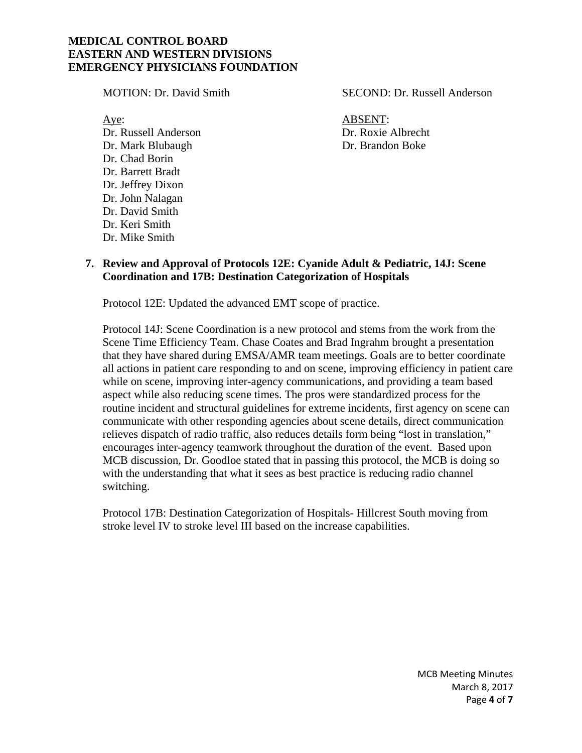Aye: ABSENT: Dr. Russell Anderson Dr. Roxie Albrecht Dr. Mark Blubaugh Dr. Brandon Boke Dr. Chad Borin Dr. Barrett Bradt Dr. Jeffrey Dixon Dr. John Nalagan Dr. David Smith Dr. Keri Smith Dr. Mike Smith

MOTION: Dr. David Smith SECOND: Dr. Russell Anderson

## **7. Review and Approval of Protocols 12E: Cyanide Adult & Pediatric, 14J: Scene Coordination and 17B: Destination Categorization of Hospitals**

Protocol 12E: Updated the advanced EMT scope of practice.

Protocol 14J: Scene Coordination is a new protocol and stems from the work from the Scene Time Efficiency Team. Chase Coates and Brad Ingrahm brought a presentation that they have shared during EMSA/AMR team meetings. Goals are to better coordinate all actions in patient care responding to and on scene, improving efficiency in patient care while on scene, improving inter-agency communications, and providing a team based aspect while also reducing scene times. The pros were standardized process for the routine incident and structural guidelines for extreme incidents, first agency on scene can communicate with other responding agencies about scene details, direct communication relieves dispatch of radio traffic, also reduces details form being "lost in translation," encourages inter-agency teamwork throughout the duration of the event. Based upon MCB discussion, Dr. Goodloe stated that in passing this protocol, the MCB is doing so with the understanding that what it sees as best practice is reducing radio channel switching.

Protocol 17B: Destination Categorization of Hospitals- Hillcrest South moving from stroke level IV to stroke level III based on the increase capabilities.

> MCB Meeting Minutes March 8, 2017 Page **4** of **7**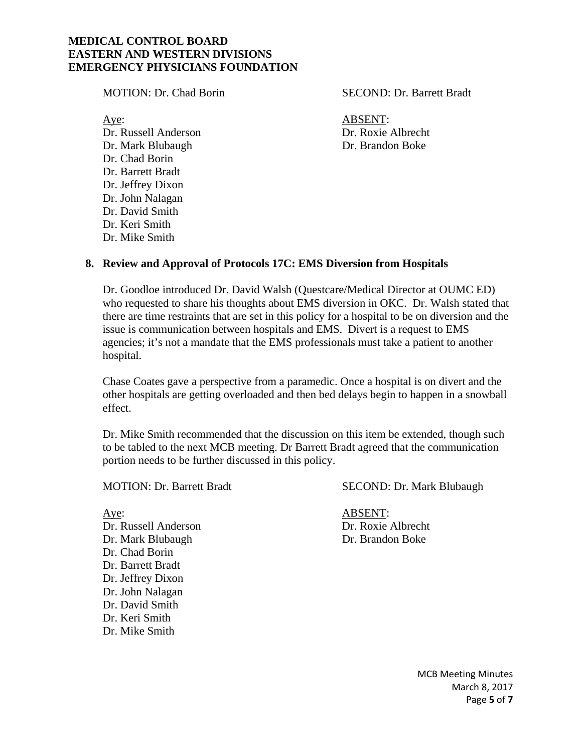MOTION: Dr. Chad Borin SECOND: Dr. Barrett Bradt

Aye: ABSENT: Dr. Russell Anderson Dr. Roxie Albrecht Dr. Mark Blubaugh Dr. Brandon Boke Dr. Chad Borin Dr. Barrett Bradt Dr. Jeffrey Dixon Dr. John Nalagan Dr. David Smith Dr. Keri Smith Dr. Mike Smith

#### **8. Review and Approval of Protocols 17C: EMS Diversion from Hospitals**

Dr. Goodloe introduced Dr. David Walsh (Questcare/Medical Director at OUMC ED) who requested to share his thoughts about EMS diversion in OKC. Dr. Walsh stated that there are time restraints that are set in this policy for a hospital to be on diversion and the issue is communication between hospitals and EMS. Divert is a request to EMS agencies; it's not a mandate that the EMS professionals must take a patient to another hospital.

Chase Coates gave a perspective from a paramedic. Once a hospital is on divert and the other hospitals are getting overloaded and then bed delays begin to happen in a snowball effect.

Dr. Mike Smith recommended that the discussion on this item be extended, though such to be tabled to the next MCB meeting. Dr Barrett Bradt agreed that the communication portion needs to be further discussed in this policy.

Aye: ABSENT: Dr. Russell Anderson Dr. Roxie Albrecht Dr. Mark Blubaugh Dr. Brandon Boke Dr. Chad Borin Dr. Barrett Bradt Dr. Jeffrey Dixon Dr. John Nalagan Dr. David Smith Dr. Keri Smith Dr. Mike Smith

MOTION: Dr. Barrett Bradt SECOND: Dr. Mark Blubaugh

MCB Meeting Minutes March 8, 2017 Page **5** of **7**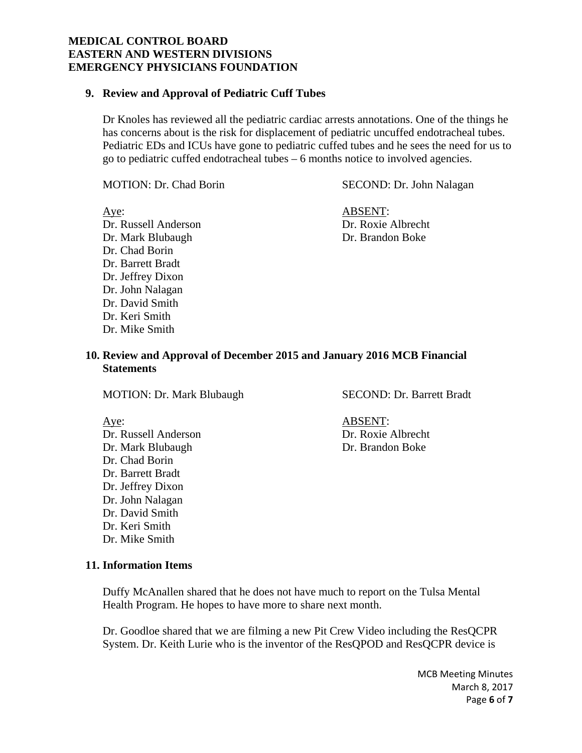#### **9. Review and Approval of Pediatric Cuff Tubes**

Dr Knoles has reviewed all the pediatric cardiac arrests annotations. One of the things he has concerns about is the risk for displacement of pediatric uncuffed endotracheal tubes. Pediatric EDs and ICUs have gone to pediatric cuffed tubes and he sees the need for us to go to pediatric cuffed endotracheal tubes – 6 months notice to involved agencies.

MOTION: Dr. Chad Borin SECOND: Dr. John Nalagan

Aye: ABSENT: Dr. Russell Anderson Dr. Roxie Albrecht Dr. Mark Blubaugh Dr. Brandon Boke Dr. Chad Borin Dr. Barrett Bradt Dr. Jeffrey Dixon Dr. John Nalagan Dr. David Smith Dr. Keri Smith Dr. Mike Smith

#### **10. Review and Approval of December 2015 and January 2016 MCB Financial Statements**

MOTION: Dr. Mark Blubaugh SECOND: Dr. Barrett Bradt

Aye: ABSENT: Dr. Russell Anderson Dr. Roxie Albrecht Dr. Mark Blubaugh Dr. Brandon Boke Dr. Chad Borin Dr. Barrett Bradt Dr. Jeffrey Dixon Dr. John Nalagan Dr. David Smith Dr. Keri Smith Dr. Mike Smith

# **11. Information Items**

Duffy McAnallen shared that he does not have much to report on the Tulsa Mental Health Program. He hopes to have more to share next month.

Dr. Goodloe shared that we are filming a new Pit Crew Video including the ResQCPR System. Dr. Keith Lurie who is the inventor of the ResQPOD and ResQCPR device is

> MCB Meeting Minutes March 8, 2017 Page **6** of **7**